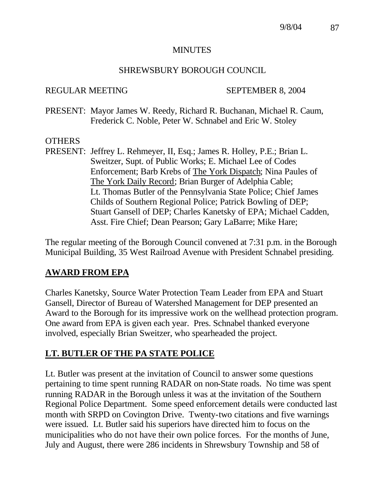### MINUTES

## SHREWSBURY BOROUGH COUNCIL

## REGULAR MEETING SEPTEMBER 8, 2004

PRESENT: Mayor James W. Reedy, Richard R. Buchanan, Michael R. Caum, Frederick C. Noble, Peter W. Schnabel and Eric W. Stoley

## **OTHERS**

PRESENT: Jeffrey L. Rehmeyer, II, Esq.; James R. Holley, P.E.; Brian L. Sweitzer, Supt. of Public Works; E. Michael Lee of Codes Enforcement; Barb Krebs of The York Dispatch; Nina Paules of The York Daily Record; Brian Burger of Adelphia Cable; Lt. Thomas Butler of the Pennsylvania State Police; Chief James Childs of Southern Regional Police; Patrick Bowling of DEP; Stuart Gansell of DEP; Charles Kanetsky of EPA; Michael Cadden, Asst. Fire Chief; Dean Pearson; Gary LaBarre; Mike Hare;

The regular meeting of the Borough Council convened at 7:31 p.m. in the Borough Municipal Building, 35 West Railroad Avenue with President Schnabel presiding.

# **AWARD FROM EPA**

Charles Kanetsky, Source Water Protection Team Leader from EPA and Stuart Gansell, Director of Bureau of Watershed Management for DEP presented an Award to the Borough for its impressive work on the wellhead protection program. One award from EPA is given each year. Pres. Schnabel thanked everyone involved, especially Brian Sweitzer, who spearheaded the project.

# **LT. BUTLER OF THE PA STATE POLICE**

Lt. Butler was present at the invitation of Council to answer some questions pertaining to time spent running RADAR on non-State roads. No time was spent running RADAR in the Borough unless it was at the invitation of the Southern Regional Police Department. Some speed enforcement details were conducted last month with SRPD on Covington Drive. Twenty-two citations and five warnings were issued. Lt. Butler said his superiors have directed him to focus on the municipalities who do not have their own police forces. For the months of June, July and August, there were 286 incidents in Shrewsbury Township and 58 of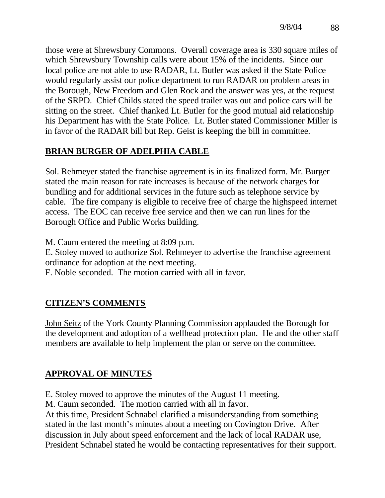those were at Shrewsbury Commons. Overall coverage area is 330 square miles of which Shrewsbury Township calls were about 15% of the incidents. Since our local police are not able to use RADAR, Lt. Butler was asked if the State Police would regularly assist our police department to run RADAR on problem areas in the Borough, New Freedom and Glen Rock and the answer was yes, at the request of the SRPD. Chief Childs stated the speed trailer was out and police cars will be sitting on the street. Chief thanked Lt. Butler for the good mutual aid relationship his Department has with the State Police. Lt. Butler stated Commissioner Miller is in favor of the RADAR bill but Rep. Geist is keeping the bill in committee.

# **BRIAN BURGER OF ADELPHIA CABLE**

Sol. Rehmeyer stated the franchise agreement is in its finalized form. Mr. Burger stated the main reason for rate increases is because of the network charges for bundling and for additional services in the future such as telephone service by cable. The fire company is eligible to receive free of charge the highspeed internet access. The EOC can receive free service and then we can run lines for the Borough Office and Public Works building.

M. Caum entered the meeting at 8:09 p.m.

E. Stoley moved to authorize Sol. Rehmeyer to advertise the franchise agreement ordinance for adoption at the next meeting.

F. Noble seconded. The motion carried with all in favor.

# **CITIZEN'S COMMENTS**

John Seitz of the York County Planning Commission applauded the Borough for the development and adoption of a wellhead protection plan. He and the other staff members are available to help implement the plan or serve on the committee.

# **APPROVAL OF MINUTES**

E. Stoley moved to approve the minutes of the August 11 meeting.

M. Caum seconded. The motion carried with all in favor.

At this time, President Schnabel clarified a misunderstanding from something stated in the last month's minutes about a meeting on Covington Drive. After discussion in July about speed enforcement and the lack of local RADAR use, President Schnabel stated he would be contacting representatives for their support.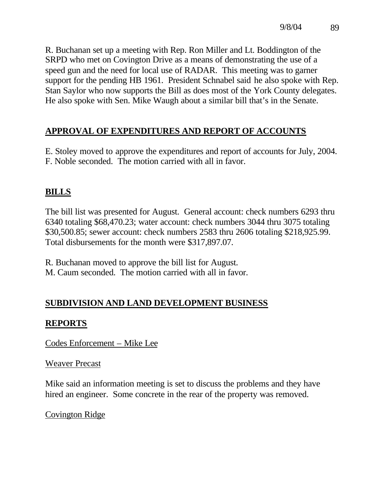R. Buchanan set up a meeting with Rep. Ron Miller and Lt. Boddington of the SRPD who met on Covington Drive as a means of demonstrating the use of a speed gun and the need for local use of RADAR. This meeting was to garner support for the pending HB 1961. President Schnabel said he also spoke with Rep. Stan Saylor who now supports the Bill as does most of the York County delegates. He also spoke with Sen. Mike Waugh about a similar bill that's in the Senate.

# **APPROVAL OF EXPENDITURES AND REPORT OF ACCOUNTS**

E. Stoley moved to approve the expenditures and report of accounts for July, 2004. F. Noble seconded. The motion carried with all in favor.

## **BILLS**

The bill list was presented for August. General account: check numbers 6293 thru 6340 totaling \$68,470.23; water account: check numbers 3044 thru 3075 totaling \$30,500.85; sewer account: check numbers 2583 thru 2606 totaling \$218,925.99. Total disbursements for the month were \$317,897.07.

R. Buchanan moved to approve the bill list for August. M. Caum seconded. The motion carried with all in favor.

# **SUBDIVISION AND LAND DEVELOPMENT BUSINESS**

## **REPORTS**

Codes Enforcement – Mike Lee

## Weaver Precast

Mike said an information meeting is set to discuss the problems and they have hired an engineer. Some concrete in the rear of the property was removed.

## Covington Ridge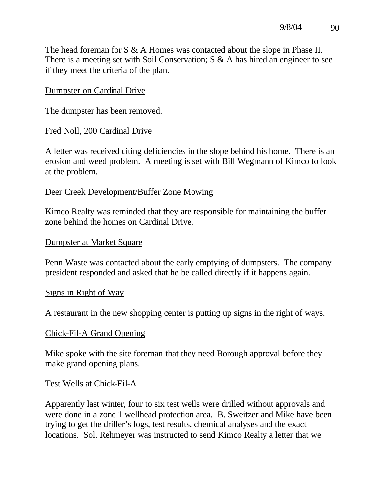The head foreman for S & A Homes was contacted about the slope in Phase II. There is a meeting set with Soil Conservation; S & A has hired an engineer to see if they meet the criteria of the plan.

### Dumpster on Cardinal Drive

The dumpster has been removed.

## Fred Noll, 200 Cardinal Drive

A letter was received citing deficiencies in the slope behind his home. There is an erosion and weed problem. A meeting is set with Bill Wegmann of Kimco to look at the problem.

## Deer Creek Development/Buffer Zone Mowing

Kimco Realty was reminded that they are responsible for maintaining the buffer zone behind the homes on Cardinal Drive.

### Dumpster at Market Square

Penn Waste was contacted about the early emptying of dumpsters. The company president responded and asked that he be called directly if it happens again.

### Signs in Right of Way

A restaurant in the new shopping center is putting up signs in the right of ways.

### Chick-Fil-A Grand Opening

Mike spoke with the site foreman that they need Borough approval before they make grand opening plans.

### Test Wells at Chick-Fil-A

Apparently last winter, four to six test wells were drilled without approvals and were done in a zone 1 wellhead protection area. B. Sweitzer and Mike have been trying to get the driller's logs, test results, chemical analyses and the exact locations. Sol. Rehmeyer was instructed to send Kimco Realty a letter that we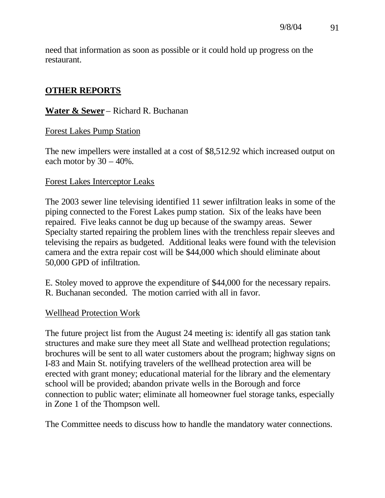need that information as soon as possible or it could hold up progress on the restaurant.

## **OTHER REPORTS**

## **Water & Sewer** – Richard R. Buchanan

### Forest Lakes Pump Station

The new impellers were installed at a cost of \$8,512.92 which increased output on each motor by 30 – 40%.

### Forest Lakes Interceptor Leaks

The 2003 sewer line televising identified 11 sewer infiltration leaks in some of the piping connected to the Forest Lakes pump station. Six of the leaks have been repaired. Five leaks cannot be dug up because of the swampy areas. Sewer Specialty started repairing the problem lines with the trenchless repair sleeves and televising the repairs as budgeted. Additional leaks were found with the television camera and the extra repair cost will be \$44,000 which should eliminate about 50,000 GPD of infiltration.

E. Stoley moved to approve the expenditure of \$44,000 for the necessary repairs. R. Buchanan seconded. The motion carried with all in favor.

### Wellhead Protection Work

The future project list from the August 24 meeting is: identify all gas station tank structures and make sure they meet all State and wellhead protection regulations; brochures will be sent to all water customers about the program; highway signs on I-83 and Main St. notifying travelers of the wellhead protection area will be erected with grant money; educational material for the library and the elementary school will be provided; abandon private wells in the Borough and force connection to public water; eliminate all homeowner fuel storage tanks, especially in Zone 1 of the Thompson well.

The Committee needs to discuss how to handle the mandatory water connections.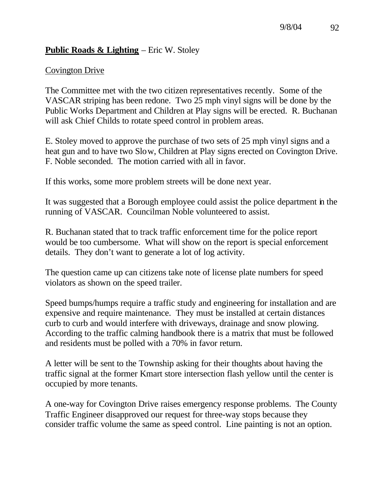## **Public Roads & Lighting** – Eric W. Stoley

## Covington Drive

The Committee met with the two citizen representatives recently. Some of the VASCAR striping has been redone. Two 25 mph vinyl signs will be done by the Public Works Department and Children at Play signs will be erected. R. Buchanan will ask Chief Childs to rotate speed control in problem areas.

E. Stoley moved to approve the purchase of two sets of 25 mph vinyl signs and a heat gun and to have two Slow, Children at Play signs erected on Covington Drive. F. Noble seconded. The motion carried with all in favor.

If this works, some more problem streets will be done next year.

It was suggested that a Borough employee could assist the police department in the running of VASCAR. Councilman Noble volunteered to assist.

R. Buchanan stated that to track traffic enforcement time for the police report would be too cumbersome. What will show on the report is special enforcement details. They don't want to generate a lot of log activity.

The question came up can citizens take note of license plate numbers for speed violators as shown on the speed trailer.

Speed bumps/humps require a traffic study and engineering for installation and are expensive and require maintenance. They must be installed at certain distances curb to curb and would interfere with driveways, drainage and snow plowing. According to the traffic calming handbook there is a matrix that must be followed and residents must be polled with a 70% in favor return.

A letter will be sent to the Township asking for their thoughts about having the traffic signal at the former Kmart store intersection flash yellow until the center is occupied by more tenants.

A one-way for Covington Drive raises emergency response problems. The County Traffic Engineer disapproved our request for three-way stops because they consider traffic volume the same as speed control. Line painting is not an option.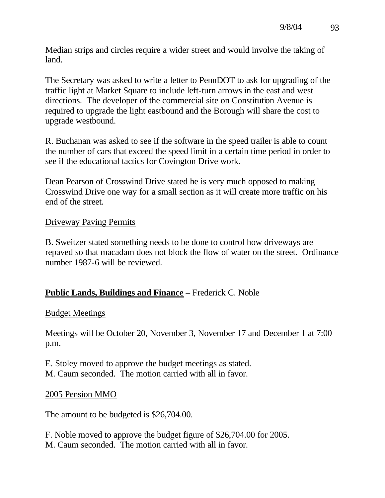Median strips and circles require a wider street and would involve the taking of land.

The Secretary was asked to write a letter to PennDOT to ask for upgrading of the traffic light at Market Square to include left-turn arrows in the east and west directions. The developer of the commercial site on Constitution Avenue is required to upgrade the light eastbound and the Borough will share the cost to upgrade westbound.

R. Buchanan was asked to see if the software in the speed trailer is able to count the number of cars that exceed the speed limit in a certain time period in order to see if the educational tactics for Covington Drive work.

Dean Pearson of Crosswind Drive stated he is very much opposed to making Crosswind Drive one way for a small section as it will create more traffic on his end of the street.

## Driveway Paving Permits

B. Sweitzer stated something needs to be done to control how driveways are repaved so that macadam does not block the flow of water on the street. Ordinance number 1987-6 will be reviewed.

## **Public Lands, Buildings and Finance** – Frederick C. Noble

## Budget Meetings

Meetings will be October 20, November 3, November 17 and December 1 at 7:00 p.m.

E. Stoley moved to approve the budget meetings as stated. M. Caum seconded. The motion carried with all in favor.

## 2005 Pension MMO

The amount to be budgeted is \$26,704.00.

F. Noble moved to approve the budget figure of \$26,704.00 for 2005. M. Caum seconded. The motion carried with all in favor.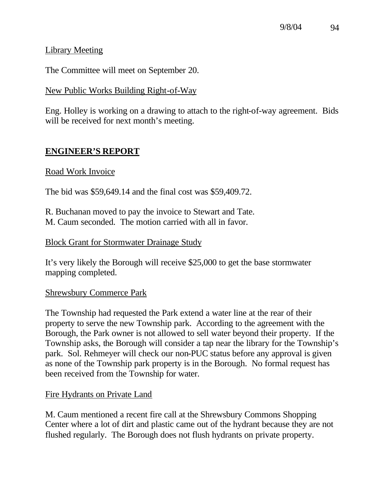Library Meeting

The Committee will meet on September 20.

## New Public Works Building Right-of-Way

Eng. Holley is working on a drawing to attach to the right-of-way agreement. Bids will be received for next month's meeting.

## **ENGINEER'S REPORT**

## Road Work Invoice

The bid was \$59,649.14 and the final cost was \$59,409.72.

R. Buchanan moved to pay the invoice to Stewart and Tate. M. Caum seconded. The motion carried with all in favor.

## Block Grant for Stormwater Drainage Study

It's very likely the Borough will receive \$25,000 to get the base stormwater mapping completed.

## Shrewsbury Commerce Park

The Township had requested the Park extend a water line at the rear of their property to serve the new Township park. According to the agreement with the Borough, the Park owner is not allowed to sell water beyond their property. If the Township asks, the Borough will consider a tap near the library for the Township's park. Sol. Rehmeyer will check our non-PUC status before any approval is given as none of the Township park property is in the Borough. No formal request has been received from the Township for water.

## Fire Hydrants on Private Land

M. Caum mentioned a recent fire call at the Shrewsbury Commons Shopping Center where a lot of dirt and plastic came out of the hydrant because they are not flushed regularly. The Borough does not flush hydrants on private property.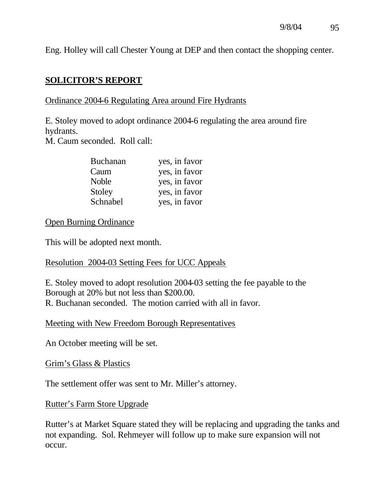Eng. Holley will call Chester Young at DEP and then contact the shopping center.

## **SOLICITOR'S REPORT**

## Ordinance 2004-6 Regulating Area around Fire Hydrants

E. Stoley moved to adopt ordinance 2004-6 regulating the area around fire hydrants.

M. Caum seconded. Roll call:

| <b>Buchanan</b> | yes, in favor |
|-----------------|---------------|
| Caum            | yes, in favor |
| <b>Noble</b>    | yes, in favor |
| Stoley          | yes, in favor |
| Schnabel        | yes, in favor |

## Open Burning Ordinance

This will be adopted next month.

## Resolution 2004-03 Setting Fees for UCC Appeals

E. Stoley moved to adopt resolution 2004-03 setting the fee payable to the Borough at 20% but not less than \$200.00. R. Buchanan seconded. The motion carried with all in favor.

### Meeting with New Freedom Borough Representatives

An October meeting will be set.

### Grim's Glass & Plastics

The settlement offer was sent to Mr. Miller's attorney.

### Rutter's Farm Store Upgrade

Rutter's at Market Square stated they will be replacing and upgrading the tanks and not expanding. Sol. Rehmeyer will follow up to make sure expansion will not occur.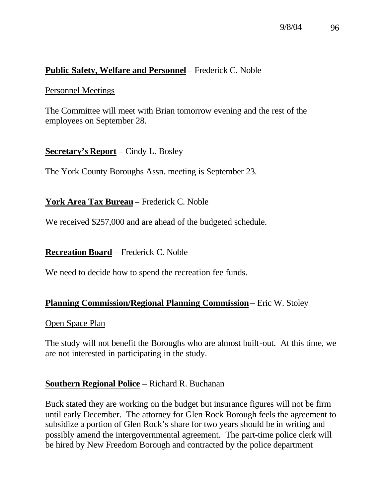## **Public Safety, Welfare and Personnel** – Frederick C. Noble

#### Personnel Meetings

The Committee will meet with Brian tomorrow evening and the rest of the employees on September 28.

## **Secretary's Report** – Cindy L. Bosley

The York County Boroughs Assn. meeting is September 23.

### **York Area Tax Bureau** – Frederick C. Noble

We received \$257,000 and are ahead of the budgeted schedule.

**Recreation Board** – Frederick C. Noble

We need to decide how to spend the recreation fee funds.

### **Planning Commission/Regional Planning Commission** – Eric W. Stoley

Open Space Plan

The study will not benefit the Boroughs who are almost built-out. At this time, we are not interested in participating in the study.

### **Southern Regional Police** – Richard R. Buchanan

Buck stated they are working on the budget but insurance figures will not be firm until early December. The attorney for Glen Rock Borough feels the agreement to subsidize a portion of Glen Rock's share for two years should be in writing and possibly amend the intergovernmental agreement. The part-time police clerk will be hired by New Freedom Borough and contracted by the police department